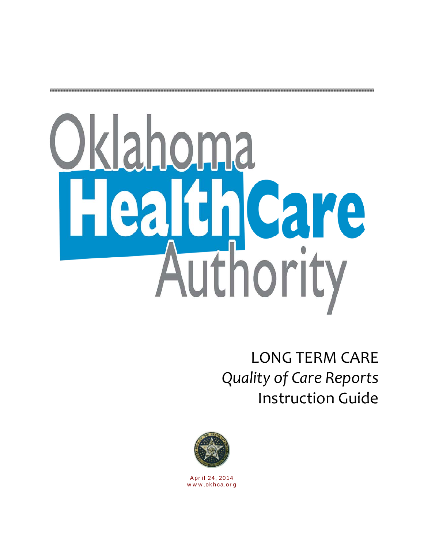# Oklahoma Health Care Authority

LONG TERM CARE *Quality of Care Reports* Instruction Guide



Apr il 24, 2014 w w w .okhca.or g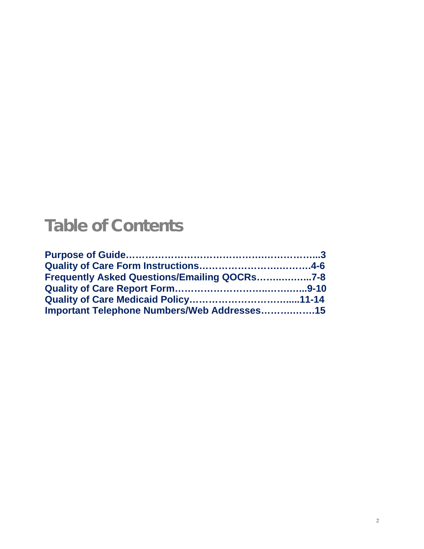# Table of Contents

| Frequently Asked Questions/Emailing QOCRs7-8 |  |
|----------------------------------------------|--|
|                                              |  |
|                                              |  |
| Important Telephone Numbers/Web Addresses15  |  |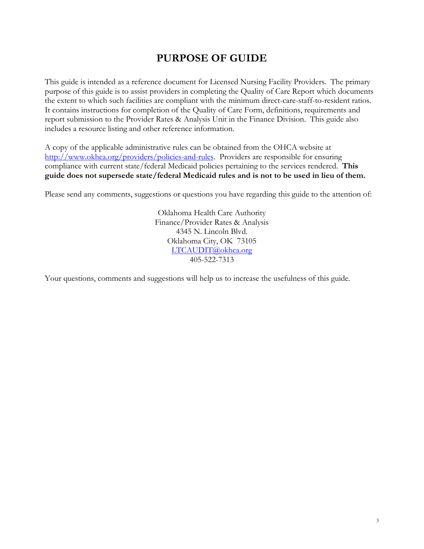## **PURPOSE OF GUIDE**

This guide is intended as a reference document for Licensed Nursing Facility Providers. The primary purpose of this guide is to assist providers in completing the Quality of Care Report which documents the extent to which such facilities are compliant with the minimum direct-care-staff-to-resident ratios. It contains instructions for completion of the Quality of Care Form, definitions, requirements and report submission to the Provider Rates & Analysis Unit in the Finance Division. This guide also includes a resource listing and other reference information.

A copy of the applicable administrative rules can be obtained from the OHCA website at [http://www.okhca.org/providers/policies-and-rules.](http://www.okhca.org/providers/policies-and-rules) Providers are responsible for ensuring compliance with current state/federal Medicaid policies pertaining to the services rendered. **This guide does not supersede state/federal Medicaid rules and is not to be used in lieu of them.**

Please send any comments, suggestions or questions you have regarding this guide to the attention of:

Oklahoma Health Care Authority Finance/Provider Rates & Analysis 4345 N. Lincoln Blvd. Oklahoma City, OK 73105 [LTCAUDIT@okhca.org](mailto:LTCAUDIT@okhca.org) 405-522-7313

Your questions, comments and suggestions will help us to increase the usefulness of this guide.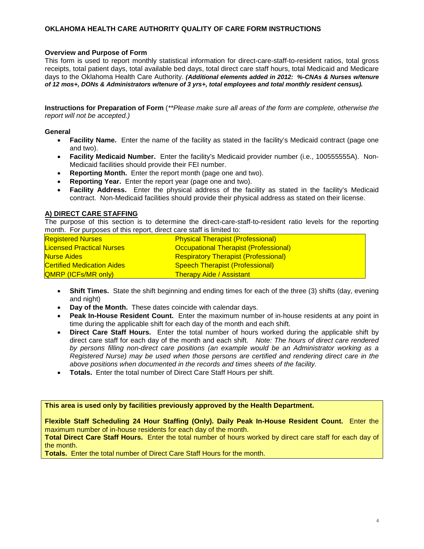#### **OKLAHOMA HEALTH CARE AUTHORITY QUALITY OF CARE FORM INSTRUCTIONS**

#### **Overview and Purpose of Form**

This form is used to report monthly statistical information for direct-care-staff-to-resident ratios, total gross receipts, total patient days, total available bed days, total direct care staff hours, total Medicaid and Medicare days to the Oklahoma Health Care Authority. *(Additional elements added in 2012: %-CNAs & Nurses w/tenure of 12 mos+, DONs & Administrators w/tenure of 3 yrs+, total employees and total monthly resident census).*

**Instructions for Preparation of Form** (*\*\*Please make sure all areas of the form are complete, otherwise the report will not be accepted.)*

#### **General**

- **Facility Name.** Enter the name of the facility as stated in the facility's Medicaid contract (page one and two).
- **Facility Medicaid Number.** Enter the facility's Medicaid provider number (i.e., 100555555A). Non-Medicaid facilities should provide their FEI number.
- **Reporting Month.** Enter the report month (page one and two).
- **Reporting Year.** Enter the report year (page one and two).
- **Facility Address.** Enter the physical address of the facility as stated in the facility's Medicaid contract. Non-Medicaid facilities should provide their physical address as stated on their license.

#### **A) DIRECT CARE STAFFING**

The purpose of this section is to determine the direct-care-staff-to-resident ratio levels for the reporting month. For purposes of this report, direct care staff is limited to:

| <b>Registered Nurses</b>          | <b>Physical Therapist (Professional)</b>     |
|-----------------------------------|----------------------------------------------|
| <b>Licensed Practical Nurses</b>  | <b>Occupational Therapist (Professional)</b> |
| <b>Nurse Aides</b>                | <b>Respiratory Therapist (Professional)</b>  |
| <b>Certified Medication Aides</b> | <b>Speech Therapist (Professional)</b>       |
| <b>QMRP (ICFs/MR only)</b>        | <b>Therapy Aide / Assistant</b>              |

- **Shift Times.** State the shift beginning and ending times for each of the three (3) shifts (day, evening and night)
- **Day of the Month.** These dates coincide with calendar days.
- **Peak In-House Resident Count.** Enter the maximum number of in-house residents at any point in time during the applicable shift for each day of the month and each shift.
- **Direct Care Staff Hours.** Enter the total number of hours worked during the applicable shift by direct care staff for each day of the month and each shift. *Note: The hours of direct care rendered by persons filling non-direct care positions (an example would be an Administrator working as a Registered Nurse) may be used when those persons are certified and rendering direct care in the above positions when documented in the records and times sheets of the facility.*
- **Totals.** Enter the total number of Direct Care Staff Hours per shift.

#### **This area is used only by facilities previously approved by the Health Department.**

**Flexible Staff Scheduling 24 Hour Staffing (Only). Daily Peak In-House Resident Count.** Enter the maximum number of in-house residents for each day of the month.

**Total Direct Care Staff Hours.** Enter the total number of hours worked by direct care staff for each day of the month.

**Totals.** Enter the total number of Direct Care Staff Hours for the month.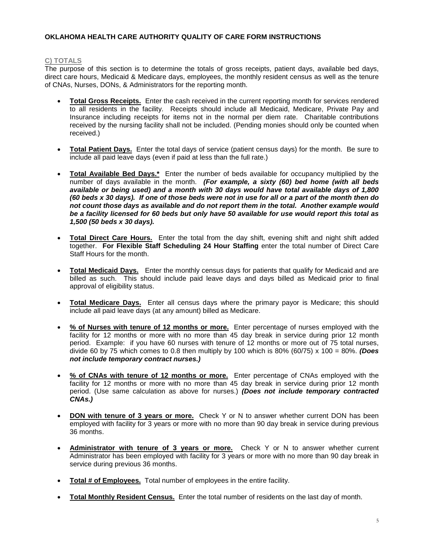#### **OKLAHOMA HEALTH CARE AUTHORITY QUALITY OF CARE FORM INSTRUCTIONS**

#### **C) TOTALS**

The purpose of this section is to determine the totals of gross receipts, patient days, available bed days, direct care hours, Medicaid & Medicare days, employees, the monthly resident census as well as the tenure of CNAs, Nurses, DONs, & Administrators for the reporting month.

- **Total Gross Receipts.** Enter the cash received in the current reporting month for services rendered to all residents in the facility. Receipts should include all Medicaid, Medicare, Private Pay and Insurance including receipts for items not in the normal per diem rate. Charitable contributions received by the nursing facility shall not be included. (Pending monies should only be counted when received.)
- **Total Patient Days.** Enter the total days of service (patient census days) for the month. Be sure to include all paid leave days (even if paid at less than the full rate.)
- **Total Available Bed Days.\*** Enter the number of beds available for occupancy multiplied by the number of days available in the month. *(For example, a sixty (60) bed home (with all beds available or being used) and a month with 30 days would have total available days of 1,800 (60 beds x 30 days). If one of those beds were not in use for all or a part of the month then do not count those days as available and do not report them in the total. Another example would be a facility licensed for 60 beds but only have 50 available for use would report this total as 1,500 (50 beds x 30 days).*
- **Total Direct Care Hours.** Enter the total from the day shift, evening shift and night shift added together. **For Flexible Staff Scheduling 24 Hour Staffing** enter the total number of Direct Care Staff Hours for the month.
- **Total Medicaid Days.** Enter the monthly census days for patients that qualify for Medicaid and are billed as such. This should include paid leave days and days billed as Medicaid prior to final approval of eligibility status.
- **Total Medicare Days.** Enter all census days where the primary payor is Medicare; this should include all paid leave days (at any amount) billed as Medicare.
- **% of Nurses with tenure of 12 months or more.** Enter percentage of nurses employed with the facility for 12 months or more with no more than 45 day break in service during prior 12 month period. Example: if you have 60 nurses with tenure of 12 months or more out of 75 total nurses, divide 60 by 75 which comes to 0.8 then multiply by 100 which is 80% (60/75) x 100 = 80%. *(Does not include temporary contract nurses.)*
- **% of CNAs with tenure of 12 months or more.** Enter percentage of CNAs employed with the facility for 12 months or more with no more than 45 day break in service during prior 12 month period. (Use same calculation as above for nurses.) *(Does not include temporary contracted CNAs.)*
- **DON with tenure of 3 years or more.** Check Y or N to answer whether current DON has been employed with facility for 3 years or more with no more than 90 day break in service during previous 36 months.
- **Administrator with tenure of 3 years or more.** Check Y or N to answer whether current Administrator has been employed with facility for 3 years or more with no more than 90 day break in service during previous 36 months.
- **Total # of Employees.** Total number of employees in the entire facility.
- **Total Monthly Resident Census.** Enter the total number of residents on the last day of month.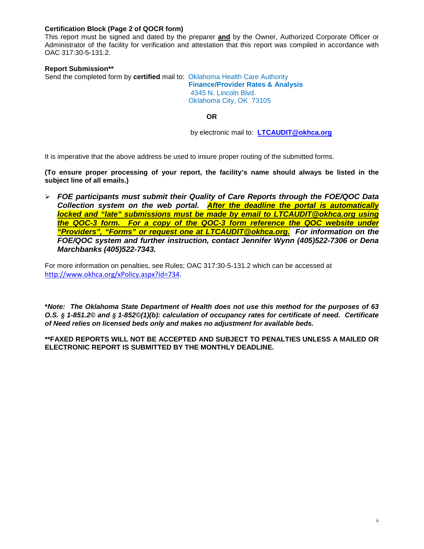#### **Certification Block (Page 2 of QOCR form)**

This report must be signed and dated by the preparer **and** by the Owner, Authorized Corporate Officer or Administrator of the facility for verification and attestation that this report was compiled in accordance with OAC 317:30-5-131.2.

#### **Report Submission\*\***

Send the completed form by **certified** mail to: Oklahoma Health Care Authority

 **Finance/Provider Rates & Analysis** 4345 N. Lincoln Blvd. Oklahoma City, OK 73105

**OR**

by electronic mail to: **[LTCAUDIT@okhca.org](mailto:LTCAUDIT@okhca.org)**

It is imperative that the above address be used to insure proper routing of the submitted forms.

**(To ensure proper processing of your report, the facility's name should always be listed in the subject line of all emails.)**

 *FOE participants must submit their Quality of Care Reports through the FOE/QOC Data Collection system on the web portal. After the deadline the portal is automatically locked and "late" submissions must be made by email to LTCAUDIT@okhca.org using the QOC-3 form. For a copy of the QOC-3 form reference the QOC website under "Providers", "Forms" or request one at LTCAUDIT@okhca.org. For information on the FOE/QOC system and further instruction, contact Jennifer Wynn (405)522-7306 or Dena Marchbanks (405)522-7343.*

For more information on penalties, see Rules; OAC 317:30-5-131.2 which can be accessed at [http://www.okhca.org/xPolicy.aspx?id=734.](http://www.okhca.org/xPolicy.aspx?id=734)

**\****Note: The Oklahoma State Department of Health does not use this method for the purposes of 63 O.S. § 1-851.2© and § 1-852©(1)(b): calculation of occupancy rates for certificate of need. Certificate of Need relies on licensed beds only and makes no adjustment for available beds.*

**\*\*FAXED REPORTS WILL NOT BE ACCEPTED AND SUBJECT TO PENALTIES UNLESS A MAILED OR ELECTRONIC REPORT IS SUBMITTED BY THE MONTHLY DEADLINE.**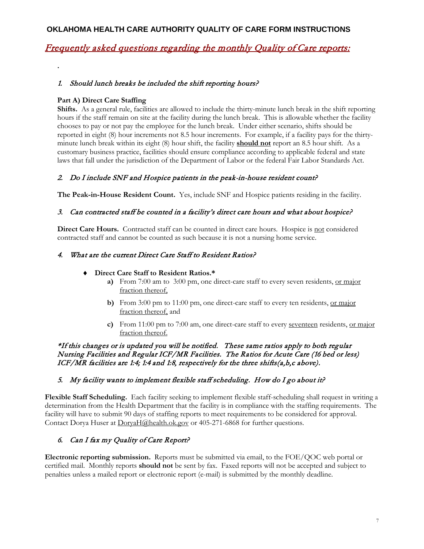#### **OKLAHOMA HEALTH CARE AUTHORITY QUALITY OF CARE FORM INSTRUCTIONS**

### Frequently asked questions regarding the monthly Quality of Care reports:

#### 1. Should lunch breaks be included the shift reporting hours?

#### **Part A) Direct Care Staffing**

**.**

**Shifts.** As a general rule, facilities are allowed to include the thirty-minute lunch break in the shift reporting hours if the staff remain on site at the facility during the lunch break. This is allowable whether the facility chooses to pay or not pay the employee for the lunch break. Under either scenario, shifts should be reported in eight (8) hour increments not 8.5 hour increments. For example, if a facility pays for the thirtyminute lunch break within its eight (8) hour shift, the facility **should not** report an 8.5 hour shift. As a customary business practice, facilities should ensure compliance according to applicable federal and state laws that fall under the jurisdiction of the Department of Labor or the federal Fair Labor Standards Act.

#### 2. Do I include SNF and Hospice patients in the peak-in-house resident count?

**The Peak-in-House Resident Count.** Yes, include SNF and Hospice patients residing in the facility.

#### 3. Can contracted staff be counted in a facility's direct care hours and what about hospice?

Direct Care Hours. Contracted staff can be counted in direct care hours. Hospice is not considered contracted staff and cannot be counted as such because it is not a nursing home service.

#### 4. What are the current Direct Care Staff to Resident Ratios?

#### ♦ **Direct Care Staff to Resident Ratios.\***

- **a)** From 7:00 am to 3:00 pm, one direct-care staff to every seven residents, or major fraction thereof,
- **b)** From 3:00 pm to 11:00 pm, one direct-care staff to every ten residents, or major fraction thereof, and
- **c)** From 11:00 pm to 7:00 am, one direct-care staff to every seventeen residents, or major fraction thereof.

#### \*If this changes or is updated you will be notified. These same ratios apply to both regular Nursing Facilities and Regular ICF/MR Facilities. The Ratios for Acute Care (16 bed or less) ICF/MR facilities are 1:4; 1:4 and 1:8, respectively for the three shifts(a,b,c above).

#### 5. My facility wants to implement flexible staff scheduling. How do I go about it?

**Flexible Staff Scheduling.** Each facility seeking to implement flexible staff-scheduling shall request in writing a determination from the Health Department that the facility is in compliance with the staffing requirements. The facility will have to submit 90 days of staffing reports to meet requirements to be considered for approval. Contact Dorya Huser at [DoryaH@health.ok.gov](mailto:DoryaH@health.ok.gov) or 405-271-6868 for further questions.

#### 6. Can I fax my Quality of Care Report?

**Electronic reporting submission.** Reports must be submitted via email, to the FOE/QOC web portal or certified mail. Monthly reports **should not** be sent by fax. Faxed reports will not be accepted and subject to penalties unless a mailed report or electronic report (e-mail) is submitted by the monthly deadline.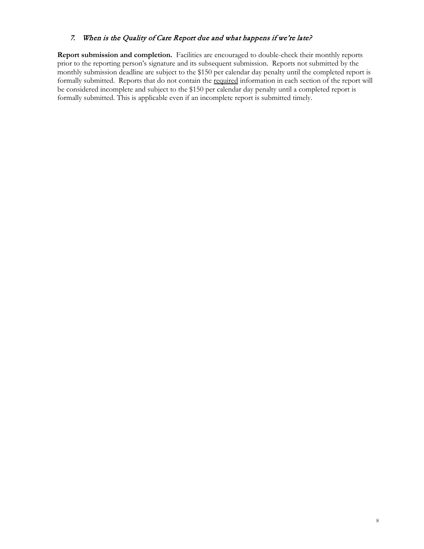#### 7. When is the Quality of Care Report due and what happens if we're late?

**Report submission and completion.** Facilities are encouraged to double-check their monthly reports prior to the reporting person's signature and its subsequent submission. Reports not submitted by the monthly submission deadline are subject to the \$150 per calendar day penalty until the completed report is formally submitted. Reports that do not contain the required information in each section of the report will be considered incomplete and subject to the \$150 per calendar day penalty until a completed report is formally submitted. This is applicable even if an incomplete report is submitted timely.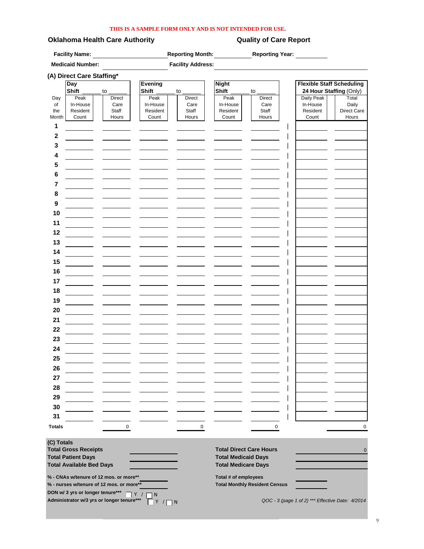#### **THIS IS A SAMPLE FORM ONLY AND IS NOT INTENDED FOR USE.**

#### **Oklahoma Health Care Authority Care Report** Quality of Care Report

**Facility Name: Reporting Month: Reporting Year:**

|               | <b>Medicaid Number:</b>          |                                          |                   | <b>Facility Address:</b> |                                |                                      |                                  |                |
|---------------|----------------------------------|------------------------------------------|-------------------|--------------------------|--------------------------------|--------------------------------------|----------------------------------|----------------|
|               | (A) Direct Care Staffing*        |                                          |                   |                          |                                |                                      |                                  |                |
|               | Day                              |                                          | <b>Evening</b>    |                          | <b>Night</b>                   |                                      | <b>Flexible Staff Scheduling</b> |                |
|               | Shift                            | to                                       | <b>Shift</b>      | to                       | <b>Shift</b>                   | to                                   | 24 Hour Staffing (Only)          |                |
| Day<br>of     | Peak<br>In-House                 | Direct<br>Care                           | Peak<br>In-House  | <b>Direct</b><br>Care    | Peak<br>In-House               | <b>Direct</b><br>Care                | Daily Peak<br>In-House           | Total<br>Daily |
| the           | Resident                         | Staff                                    | Resident          | Staff                    | Resident                       | Staff                                | Resident                         | Direct Care    |
| Month         | Count                            | Hours                                    | Count             | Hours                    | Count                          | Hours                                | Count                            | Hours          |
| 1             |                                  |                                          |                   |                          |                                |                                      |                                  |                |
|               |                                  |                                          |                   |                          |                                |                                      |                                  |                |
| 2             |                                  |                                          |                   |                          |                                |                                      |                                  |                |
| 3             |                                  |                                          |                   |                          |                                |                                      |                                  |                |
| 4             |                                  |                                          |                   |                          |                                |                                      |                                  |                |
| 5             |                                  |                                          |                   |                          |                                |                                      |                                  |                |
| 6             |                                  |                                          |                   |                          |                                |                                      |                                  |                |
|               |                                  |                                          |                   |                          |                                |                                      |                                  |                |
| 7             |                                  |                                          |                   |                          |                                |                                      |                                  |                |
| 8             |                                  |                                          |                   |                          |                                |                                      |                                  |                |
| 9             |                                  |                                          |                   |                          |                                |                                      |                                  |                |
| 10            |                                  |                                          |                   |                          |                                |                                      |                                  |                |
| 11            |                                  |                                          |                   |                          |                                |                                      |                                  |                |
|               |                                  |                                          |                   |                          |                                |                                      |                                  |                |
| 12            |                                  |                                          |                   |                          |                                |                                      |                                  |                |
| 13            |                                  |                                          |                   |                          |                                |                                      |                                  |                |
| 14            |                                  |                                          |                   |                          |                                |                                      |                                  |                |
| 15            |                                  |                                          |                   |                          |                                |                                      |                                  |                |
| 16            |                                  |                                          |                   |                          |                                |                                      |                                  |                |
|               |                                  |                                          |                   |                          |                                |                                      |                                  |                |
| 17            |                                  |                                          |                   |                          |                                |                                      |                                  |                |
| 18            |                                  |                                          |                   |                          |                                |                                      |                                  |                |
| 19            |                                  |                                          |                   |                          |                                |                                      |                                  |                |
| 20            |                                  |                                          |                   |                          |                                |                                      |                                  |                |
| 21            |                                  |                                          |                   |                          |                                |                                      |                                  |                |
|               |                                  |                                          |                   |                          |                                |                                      |                                  |                |
| 22            |                                  |                                          |                   |                          |                                |                                      |                                  |                |
| 23            |                                  |                                          |                   |                          |                                |                                      |                                  |                |
| 24            |                                  |                                          |                   |                          |                                |                                      |                                  |                |
| 25            |                                  |                                          |                   |                          |                                |                                      |                                  |                |
|               |                                  |                                          |                   |                          |                                |                                      |                                  |                |
| 26            |                                  |                                          |                   |                          |                                |                                      |                                  |                |
| 27            |                                  |                                          |                   |                          |                                |                                      |                                  |                |
| 28            |                                  |                                          |                   |                          |                                |                                      |                                  |                |
| 29            |                                  |                                          |                   |                          |                                |                                      |                                  |                |
| 30            |                                  |                                          |                   |                          |                                |                                      |                                  |                |
|               |                                  |                                          |                   |                          |                                |                                      |                                  |                |
| 31            |                                  |                                          |                   |                          |                                |                                      |                                  |                |
| <b>Totals</b> |                                  | $\mathbf 0$                              |                   | $\mathsf 0$              |                                | $\mathbf 0$                          |                                  | 0              |
| (C) Totals    |                                  |                                          |                   |                          |                                |                                      |                                  |                |
|               | <b>Total Gross Receipts</b>      |                                          |                   |                          | <b>Total Direct Care Hours</b> |                                      |                                  | $\mathbf{0}$   |
|               | <b>Total Patient Days</b>        |                                          |                   |                          | <b>Total Medicaid Days</b>     |                                      |                                  |                |
|               | <b>Total Available Bed Days</b>  |                                          |                   |                          | <b>Total Medicare Days</b>     |                                      |                                  |                |
|               |                                  | % - CNAs w/tenure of 12 mos. or more**   |                   |                          | Total # of employees           |                                      |                                  |                |
|               |                                  | % - nurses w/tenure of 12 mos. or more** |                   |                          |                                | <b>Total Monthly Resident Census</b> |                                  |                |
|               | DON w/ 3 yrs or longer tenure*** |                                          | Y / I<br>$\neg$ N |                          |                                |                                      |                                  |                |

**Administrator w/3 yrs or longer tenure\*\*\*** *QOC - 3 (page 1 of 2) \*\*\* Effective Date: 4/2014*

Y / <sub>N</sub>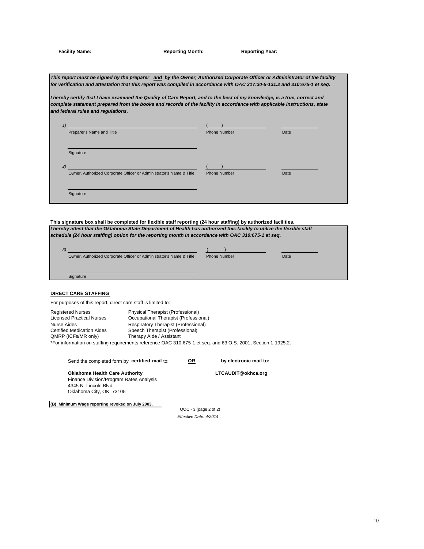|  | Facility Name: |  |
|--|----------------|--|

**Facility Name: Reporting Month: Reporting Year:**

*This report must be signed by the preparer and by the Owner, Authorized Corporate Officer or Administrator of the facility for verification and attestation that this report was compiled in accordance with OAC 317:30-5-131.2 and 310:675-1 et seq.*

**I hereby certify that I have examined the Quality of Care Report, and to the best of my knowledge, is a true, correct and** *complete statement prepared from the books and records of the facility in accordance with applicable instructions, state and federal rules and regulations.*

| 1)<br>Preparer's Name and Title                                           | <b>Phone Number</b> | Date |
|---------------------------------------------------------------------------|---------------------|------|
| Signature                                                                 |                     |      |
| 2)<br>Owner, Authorized Corporate Officer or Administrator's Name & Title | Phone Number        | Date |
| Signature                                                                 |                     |      |

**This signature box shall be completed for flexible staff reporting (24 hour staffing) by authorized facilities.** *I hereby attest that the Oklahoma State Department of Health has authorized this facility to utilize the flexible staff schedule (24 hour staffing) option for the reporting month in accordance with OAC 310:675-1 et seq.*

| 3)                                                                  |                     |      |  |
|---------------------------------------------------------------------|---------------------|------|--|
| Owner, Authorized Corporate Officer or Administrator's Name & Title | <b>Phone Number</b> | Date |  |
|                                                                     |                     |      |  |
|                                                                     |                     |      |  |
| Signature                                                           |                     |      |  |

#### **DIRECT CARE STAFFING**

For purposes of this report, direct care staff is limited to:

Registered Nurses Physical Therapist (Professional) Licensed Practical Nurses Occupational Therapist (Professional) Nurse Aides **Respiratory Therapist (Professional)**<br>
Certified Medication Aides **Respiratory Containst (Professional)** Certified Medication Aides Speech Therapist (Professional)<br>
QMRP (ICFs/MR only) Therapy Aide / Assistant Therapy Aide / Assistant

\*For information on staffing requirements reference OAC 310:675-1 et seq. and 63 O.S. 2001, Section 1-1925.2.

 Send the completed form by **certified mail** to: **OR by electronic mail to: Oklahoma Health Care Authority Constrained Burger CONSTANDIT@okhca.org**  Finance Division/Program Rates Analysis 4345 N. Lincoln Blvd.

**(B) Minimum Wage reporting revoked on July 2003.**

Oklahoma City, OK 73105

*Effective Date: 4/2014* QOC - 3 (page 2 of 2)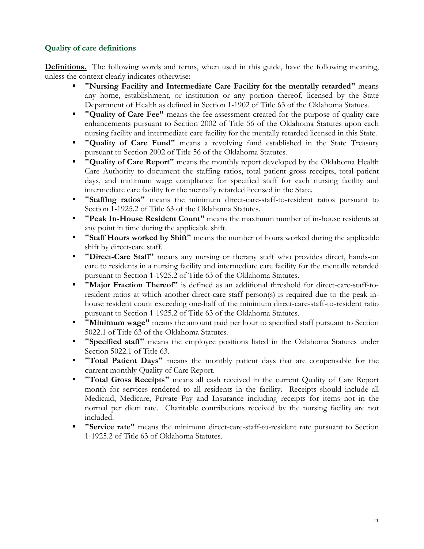#### **Quality of care definitions**

**Definitions.** The following words and terms, when used in this guide, have the following meaning, unless the context clearly indicates otherwise:

- **"Nursing Facility and Intermediate Care Facility for the mentally retarded"** means any home, establishment, or institution or any portion thereof, licensed by the State Department of Health as defined in Section 1-1902 of Title 63 of the Oklahoma Statues.
- **"Quality of Care Fee"** means the fee assessment created for the purpose of quality care enhancements pursuant to Section 2002 of Title 56 of the Oklahoma Statutes upon each nursing facility and intermediate care facility for the mentally retarded licensed in this State.
- **"Quality of Care Fund"** means a revolving fund established in the State Treasury pursuant to Section 2002 of Title 56 of the Oklahoma Statutes.
- **"Quality of Care Report"** means the monthly report developed by the Oklahoma Health Care Authority to document the staffing ratios, total patient gross receipts, total patient days, and minimum wage compliance for specified staff for each nursing facility and intermediate care facility for the mentally retarded licensed in the State.
- **"Staffing ratios"** means the minimum direct-care-staff-to-resident ratios pursuant to Section 1-1925.2 of Title 63 of the Oklahoma Statutes.
- **"Peak In-House Resident Count"** means the maximum number of in-house residents at any point in time during the applicable shift.
- **"Staff Hours worked by Shift"** means the number of hours worked during the applicable shift by direct-care staff.
- **"Direct-Care Staff"** means any nursing or therapy staff who provides direct, hands-on care to residents in a nursing facility and intermediate care facility for the mentally retarded pursuant to Section 1-1925.2 of Title 63 of the Oklahoma Statutes.
- **"Major Fraction Thereof"** is defined as an additional threshold for direct-care-staff-toresident ratios at which another direct-care staff person(s) is required due to the peak inhouse resident count exceeding one-half of the minimum direct-care-staff-to-resident ratio pursuant to Section 1-1925.2 of Title 63 of the Oklahoma Statutes.
- **"Minimum wage"** means the amount paid per hour to specified staff pursuant to Section 5022.1 of Title 63 of the Oklahoma Statutes.
- **"Specified staff"** means the employee positions listed in the Oklahoma Statutes under Section 5022.1 of Title 63.
- **"Total Patient Days"** means the monthly patient days that are compensable for the current monthly Quality of Care Report.
- **"Total Gross Receipts"** means all cash received in the current Quality of Care Report month for services rendered to all residents in the facility. Receipts should include all Medicaid, Medicare, Private Pay and Insurance including receipts for items not in the normal per diem rate. Charitable contributions received by the nursing facility are not included.
- **"Service rate"** means the minimum direct-care-staff-to-resident rate pursuant to Section 1-1925.2 of Title 63 of Oklahoma Statutes.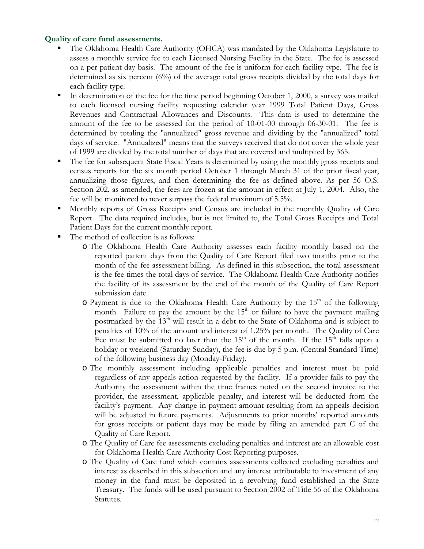#### **Quality of care fund assessments.**

- The Oklahoma Health Care Authority (OHCA) was mandated by the Oklahoma Legislature to assess a monthly service fee to each Licensed Nursing Facility in the State. The fee is assessed on a per patient day basis. The amount of the fee is uniform for each facility type. The fee is determined as six percent (6%) of the average total gross receipts divided by the total days for each facility type.
- In determination of the fee for the time period beginning October 1, 2000, a survey was mailed to each licensed nursing facility requesting calendar year 1999 Total Patient Days, Gross Revenues and Contractual Allowances and Discounts. This data is used to determine the amount of the fee to be assessed for the period of 10-01-00 through 06-30-01. The fee is determined by totaling the "annualized" gross revenue and dividing by the "annualized" total days of service. "Annualized" means that the surveys received that do not cover the whole year of 1999 are divided by the total number of days that are covered and multiplied by 365.
- The fee for subsequent State Fiscal Years is determined by using the monthly gross receipts and census reports for the six month period October 1 through March 31 of the prior fiscal year, annualizing those figures, and then determining the fee as defined above. As per 56 O.S. Section 202, as amended, the fees are frozen at the amount in effect at July 1, 2004. Also, the fee will be monitored to never surpass the federal maximum of 5.5%.
- Monthly reports of Gross Receipts and Census are included in the monthly Quality of Care Report. The data required includes, but is not limited to, the Total Gross Receipts and Total Patient Days for the current monthly report.
- The method of collection is as follows:
	- o The Oklahoma Health Care Authority assesses each facility monthly based on the reported patient days from the Quality of Care Report filed two months prior to the month of the fee assessment billing. As defined in this subsection, the total assessment is the fee times the total days of service. The Oklahoma Health Care Authority notifies the facility of its assessment by the end of the month of the Quality of Care Report submission date.
	- $\circ$  Payment is due to the Oklahoma Health Care Authority by the 15<sup>th</sup> of the following month. Failure to pay the amount by the  $15<sup>th</sup>$  or failure to have the payment mailing postmarked by the 13<sup>th</sup> will result in a debt to the State of Oklahoma and is subject to penalties of 10% of the amount and interest of 1.25% per month. The Quality of Care Fee must be submitted no later than the  $15<sup>th</sup>$  of the month. If the  $15<sup>th</sup>$  falls upon a holiday or weekend (Saturday-Sunday), the fee is due by 5 p.m. (Central Standard Time) of the following business day (Monday-Friday).
	- o The monthly assessment including applicable penalties and interest must be paid regardless of any appeals action requested by the facility. If a provider fails to pay the Authority the assessment within the time frames noted on the second invoice to the provider, the assessment, applicable penalty, and interest will be deducted from the facility's payment. Any change in payment amount resulting from an appeals decision will be adjusted in future payments. Adjustments to prior months' reported amounts for gross receipts or patient days may be made by filing an amended part C of the Quality of Care Report.
	- o The Quality of Care fee assessments excluding penalties and interest are an allowable cost for Oklahoma Health Care Authority Cost Reporting purposes.
	- o The Quality of Care fund which contains assessments collected excluding penalties and interest as described in this subsection and any interest attributable to investment of any money in the fund must be deposited in a revolving fund established in the State Treasury. The funds will be used pursuant to Section 2002 of Title 56 of the Oklahoma Statutes.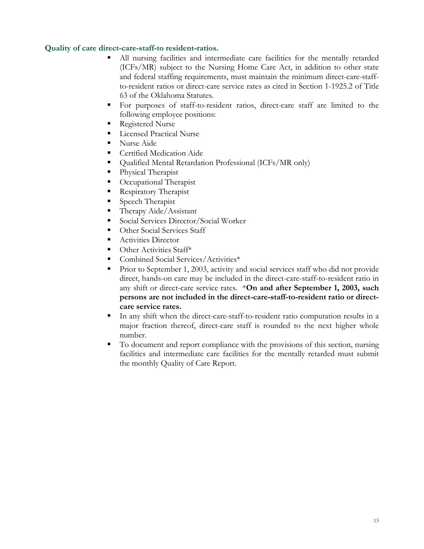#### **Quality of care direct-care-staff-to resident-ratios.**

- All nursing facilities and intermediate care facilities for the mentally retarded (ICFs/MR) subject to the Nursing Home Care Act, in addition to other state and federal staffing requirements, must maintain the minimum direct-care-staffto-resident ratios or direct-care service rates as cited in Section 1-1925.2 of Title 63 of the Oklahoma Statutes.
- For purposes of staff-to-resident ratios, direct-care staff are limited to the following employee positions:
- Registered Nurse
- **Licensed Practical Nurse**
- Nurse Aide
- **Certified Medication Aide**
- Qualified Mental Retardation Professional (ICFs/MR only)
- Physical Therapist
- **C** Occupational Therapist
- **Respiratory Therapist**
- **Speech Therapist**
- Therapy Aide/Assistant
- Social Services Director/Social Worker
- Other Social Services Staff
- **Activities Director**
- $\blacksquare$  Other Activities Staff\*
- Combined Social Services/Activities\*
- Prior to September 1, 2003, activity and social services staff who did not provide direct, hands-on care may be included in the direct-care-staff-to-resident ratio in any shift or direct-care service rates. \***On and after September 1, 2003, such persons are not included in the direct-care-staff-to-resident ratio or directcare service rates.**
- In any shift when the direct-care-staff-to-resident ratio computation results in a major fraction thereof, direct-care staff is rounded to the next higher whole number.
- To document and report compliance with the provisions of this section, nursing facilities and intermediate care facilities for the mentally retarded must submit the monthly Quality of Care Report.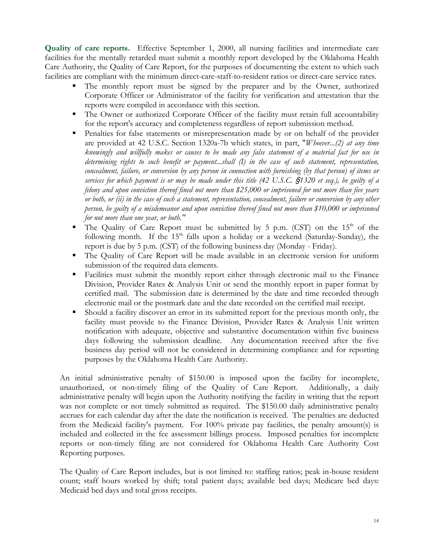**Quality of care reports.** Effective September 1, 2000, all nursing facilities and intermediate care facilities for the mentally retarded must submit a monthly report developed by the Oklahoma Health Care Authority, the Quality of Care Report, for the purposes of documenting the extent to which such facilities are compliant with the minimum direct-care-staff-to-resident ratios or direct-care service rates.

- The monthly report must be signed by the preparer and by the Owner, authorized Corporate Officer or Administrator of the facility for verification and attestation that the reports were compiled in accordance with this section.
- The Owner or authorized Corporate Officer of the facility must retain full accountability for the report's accuracy and completeness regardless of report submission method.
- Penalties for false statements or misrepresentation made by or on behalf of the provider are provided at 42 U.S.C. Section 1320a-7b which states, in part, "*Whoever...(2) at any time knowingly and willfully makes or causes to be made any false statement of a material fact for use in determining rights to such benefit or payment...shall (I) in the case of such statement, representation, concealment, failure, or conversion by any person in connection with furnishing (by that person) of items or services for which payment is or may be made under this title (42 U.S.C.* '*1320 et seq.), be guilty of a felony and upon conviction thereof fined not more than \$25,000 or imprisoned for not more than five years or both, or (ii) in the case of such a statement, representation, concealment, failure or conversion by any other person, be guilty of a misdemeanor and upon conviction thereof fined not more than \$10,000 or imprisoned for not more than one year, or both."*
- The Quality of Care Report must be submitted by 5 p.m. (CST) on the  $15<sup>th</sup>$  of the following month. If the  $15<sup>th</sup>$  falls upon a holiday or a weekend (Saturday-Sunday), the report is due by 5 p.m. (CST) of the following business day (Monday - Friday).
- The Quality of Care Report will be made available in an electronic version for uniform submission of the required data elements.
- Facilities must submit the monthly report either through electronic mail to the Finance Division, Provider Rates & Analysis Unit or send the monthly report in paper format by certified mail. The submission date is determined by the date and time recorded through electronic mail or the postmark date and the date recorded on the certified mail receipt.
- Should a facility discover an error in its submitted report for the previous month only, the facility must provide to the Finance Division, Provider Rates & Analysis Unit written notification with adequate, objective and substantive documentation within five business days following the submission deadline. Any documentation received after the five business day period will not be considered in determining compliance and for reporting purposes by the Oklahoma Health Care Authority.

An initial administrative penalty of \$150.00 is imposed upon the facility for incomplete, unauthorized, or non-timely filing of the Quality of Care Report. Additionally, a daily administrative penalty will begin upon the Authority notifying the facility in writing that the report was not complete or not timely submitted as required. The \$150.00 daily administrative penalty accrues for each calendar day after the date the notification is received. The penalties are deducted from the Medicaid facility's payment. For 100% private pay facilities, the penalty amount(s) is included and collected in the fee assessment billings process. Imposed penalties for incomplete reports or non-timely filing are not considered for Oklahoma Health Care Authority Cost Reporting purposes.

The Quality of Care Report includes, but is not limited to: staffing ratios; peak in-house resident count; staff hours worked by shift; total patient days; available bed days; Medicare bed days: Medicaid bed days and total gross receipts.